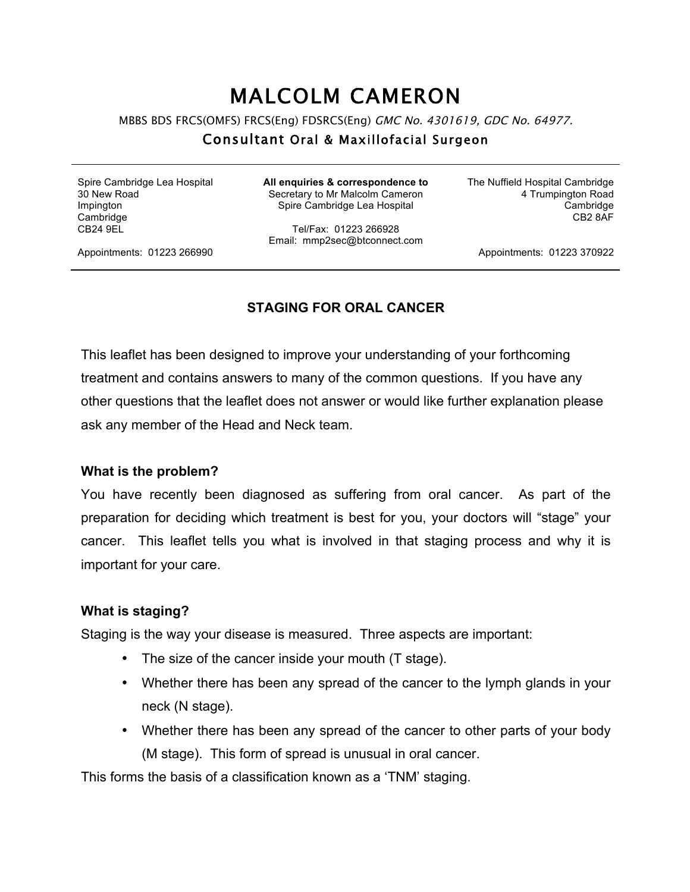# MALCOLM CAMERON

MBBS BDS FRCS(OMFS) FRCS(Eng) FDSRCS(Eng) GMC No. 4301619, GDC No. 64977.

# Consultant Oral & Maxillofacial Surgeon

Spire Cambridge Lea Hospital 30 New Road Impington **Cambridge** CB24 9EL

**All enquiries & correspondence to** Secretary to Mr Malcolm Cameron Spire Cambridge Lea Hospital

Tel/Fax: 01223 266928 Email: mmp2sec@btconnect.com The Nuffield Hospital Cambridge 4 Trumpington Road Cambridge CB2 8AF

Appointments: 01223 266990

Appointments: 01223 370922

#### **STAGING FOR ORAL CANCER**

This leaflet has been designed to improve your understanding of your forthcoming treatment and contains answers to many of the common questions. If you have any other questions that the leaflet does not answer or would like further explanation please ask any member of the Head and Neck team.

#### **What is the problem?**

You have recently been diagnosed as suffering from oral cancer. As part of the preparation for deciding which treatment is best for you, your doctors will "stage" your cancer. This leaflet tells you what is involved in that staging process and why it is important for your care.

#### **What is staging?**

Staging is the way your disease is measured. Three aspects are important:

- The size of the cancer inside your mouth (T stage).
- Whether there has been any spread of the cancer to the lymph glands in your neck (N stage).
- Whether there has been any spread of the cancer to other parts of your body (M stage). This form of spread is unusual in oral cancer.

This forms the basis of a classification known as a 'TNM' staging.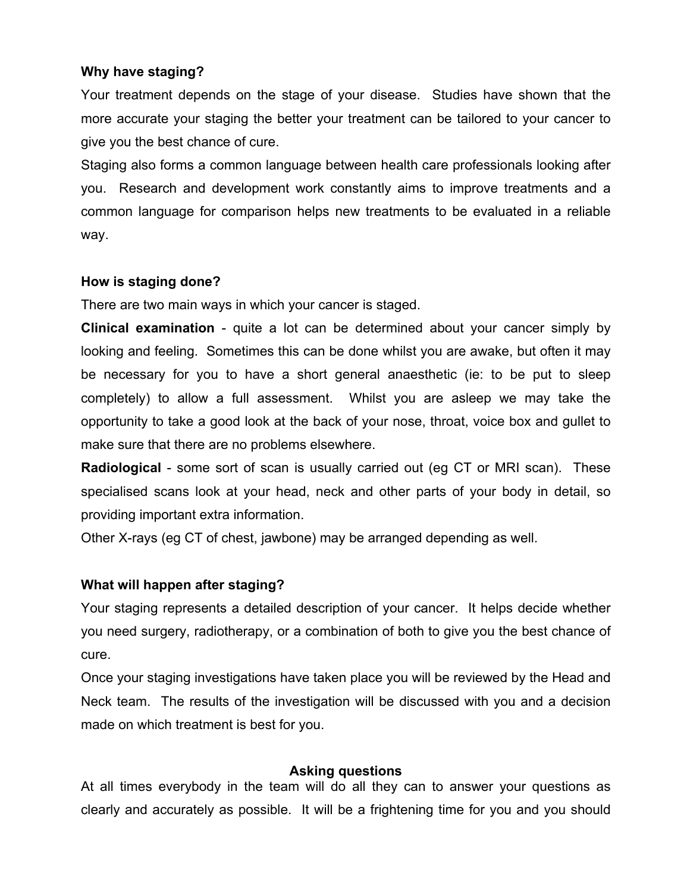# **Why have staging?**

Your treatment depends on the stage of your disease. Studies have shown that the more accurate your staging the better your treatment can be tailored to your cancer to give you the best chance of cure.

Staging also forms a common language between health care professionals looking after you. Research and development work constantly aims to improve treatments and a common language for comparison helps new treatments to be evaluated in a reliable way.

### **How is staging done?**

There are two main ways in which your cancer is staged.

**Clinical examination** - quite a lot can be determined about your cancer simply by looking and feeling. Sometimes this can be done whilst you are awake, but often it may be necessary for you to have a short general anaesthetic (ie: to be put to sleep completely) to allow a full assessment. Whilst you are asleep we may take the opportunity to take a good look at the back of your nose, throat, voice box and gullet to make sure that there are no problems elsewhere.

**Radiological** - some sort of scan is usually carried out (eg CT or MRI scan). These specialised scans look at your head, neck and other parts of your body in detail, so providing important extra information.

Other X-rays (eg CT of chest, jawbone) may be arranged depending as well.

# **What will happen after staging?**

Your staging represents a detailed description of your cancer. It helps decide whether you need surgery, radiotherapy, or a combination of both to give you the best chance of cure.

Once your staging investigations have taken place you will be reviewed by the Head and Neck team. The results of the investigation will be discussed with you and a decision made on which treatment is best for you.

# **Asking questions**

At all times everybody in the team will do all they can to answer your questions as clearly and accurately as possible. It will be a frightening time for you and you should